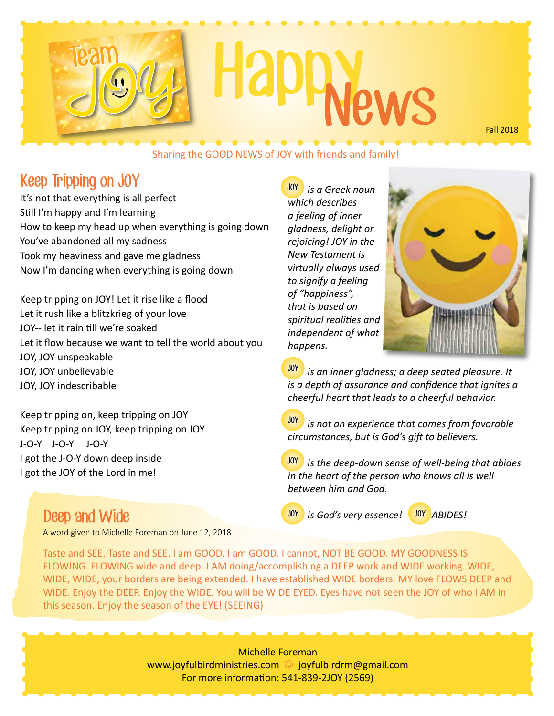# Team JON<sub>3</sub> Happy

Sharing the GOOD NEWS of JOY with friends and family!

#### Keep Tripping on JOY

It's not that everything is all perfect Still I'm happy and I'm learning How to keep my head up when everything is going down You've abandoned all my sadness Took my heaviness and gave me gladness Now I'm dancing when everything is going down

Keep tripping on JOY! Let it rise like a flood Let it rush like a blitzkrieg of your love JOY-- let it rain till we're soaked Let it flow because we want to tell the world about you JOY, JOY unspeakable JOY, JOY unbelievable JOY, JOY indescribable

Keep tripping on, keep tripping on JOY Keep tripping on JOY, keep tripping on JOY J-O-Y J-O-Y J-O-Y I got the J-O-Y down deep inside I got the JOY of the Lord in me!

Deep and Wide

A word given to Michelle Foreman on June 12, 2018

 *is a Greek noun*  JOY *which describes a feeling of inner gladness, delight or rejoicing! JOY in the New Testament is virtually always used to signify a feeling of "happiness", that is based on spiritual realities and independent of what happens.*



Fall 2018

 *is an inner gladness; a deep seated pleasure. It*  JOY *is a depth of assurance and confidence that ignites a cheerful heart that leads to a cheerful behavior.*

 *is not an experience that comes from favorable circumstances, but is God's gift to believers.* JOY

 *is the deep-down sense of well-being that abides*  JOY *in the heart of the person who knows all is well between him and God.*

JOY

*is God's very essence!* **MP** ABIDES!

Taste and SEE. Taste and SEE. I am GOOD. I am GOOD. I cannot, NOT BE GOOD. MY GOODNESS IS FLOWING. FLOWING wide and deep. I AM doing/accomplishing a DEEP work and WIDE working. WIDE, WIDE, WIDE, your borders are being extended. I have established WIDE borders. MY love FLOWS DEEP and WIDE. Enjoy the DEEP. Enjoy the WIDE. You will be WIDE EYED. Eyes have not seen the JOY of who I AM in this season. Enjoy the season of the EYE! (SEEING)

> Michelle Foreman www.joyfulbirdministries.com © joyfulbirdrm@gmail.com For more information: 541-839-2JOY (2569)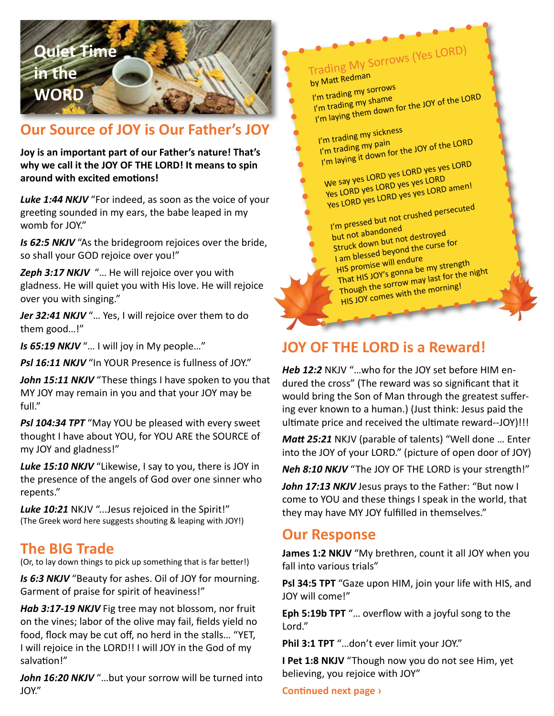### **Quiet Time in the WORD**

#### **Our Source of JOY is Our Father's JOY**

**Joy is an important part of our Father's nature! That's why we call it the JOY OF THE LORD! It means to spin around with excited emotions!**

*Luke 1:44 NKJV* "For indeed, as soon as the voice of your greeting sounded in my ears, the babe leaped in my womb for JOY."

*Is 62:5 NKJV* "As the bridegroom rejoices over the bride, so shall your GOD rejoice over you!"

*Zeph 3:17 NKJV* "… He will rejoice over you with gladness. He will quiet you with His love. He will rejoice over you with singing."

Jer 32:41 NKJV "... Yes, I will rejoice over them to do them good…!"

*Is 65:19 NKJV* "… I will joy in My people…"

**Psl 16:11 NKJV** "In YOUR Presence is fullness of JOY."

John 15:11 NKJV "These things I have spoken to you that MY JOY may remain in you and that your JOY may be full."

*Psl 104:34 TPT* "May YOU be pleased with every sweet thought I have about YOU, for YOU ARE the SOURCE of my JOY and gladness!"

*Luke 15:10 NKJV* "Likewise, I say to you, there is JOY in the presence of the angels of God over one sinner who repents."

*Luke 10:21* NKJV "...Jesus rejoiced in the Spirit!" (The Greek word here suggests shouting & leaping with JOY!)

#### **The BIG Trade**

(Or, to lay down things to pick up something that is far better!)

*Is 6:3 NKJV* "Beauty for ashes. Oil of JOY for mourning. Garment of praise for spirit of heaviness!"

*Hab 3:17-19 NKJV* Fig tree may not blossom, nor fruit on the vines; labor of the olive may fail, fields yield no food, flock may be cut off, no herd in the stalls… "YET, I will rejoice in the LORD!! I will JOY in the God of my salvation!"

John 16:20 NKJV "...but your sorrow will be turned into JOY."

Trading My Sorrows (Yes LORD)

by Matt Redman

I'm trading my sorrows<br>I'm trading my shame 'm trading my shame<br>I'm trading my shame<br>I'm laying them down for the JOY of the LORD

I'm trading my sickness<br>I'm trading my pain I'm trading my pain<br>I'm trading my pain<br>I'm laying it down for the JOY of the LORD

We say yes LORD yes LORD yes yes LORD Yes LORD yes LORD yes yes LORD Yes LORD yes LORD yes yes LORD amen!

I'm pressed but not crushed persecuted but not abandoned

Struck down but not destroyed I am blessed beyond the curse for HIS promise will endure That HIS JOY's gonna be my strength Though the sorrow may last for the night HIS JOY comes with the morning!

#### **JOY OF THE LORD is a Reward!**

*Heb 12:2* NKJV "…who for the JOY set before HIM endured the cross" (The reward was so significant that it would bring the Son of Man through the greatest suffering ever known to a human.) (Just think: Jesus paid the ultimate price and received the ultimate reward--JOY)!!!

*Matt 25:21* NKJV (parable of talents) "Well done … Enter into the JOY of your LORD." (picture of open door of JOY)

*Neh 8:10 NKJV* "The JOY OF THE LORD is your strength!"

John 17:13 NKJV Jesus prays to the Father: "But now I come to YOU and these things I speak in the world, that they may have MY JOY fulfilled in themselves."

#### **Our Response**

**James 1:2 NKJV** "My brethren, count it all JOY when you fall into various trials"

**Psl 34:5 TPT** "Gaze upon HIM, join your life with HIS, and JOY will come!"

**Eph 5:19b TPT** "… overflow with a joyful song to the Lord."

**Phil 3:1 TPT** "…don't ever limit your JOY."

**I Pet 1:8 NKJV** "Though now you do not see Him, yet believing, you rejoice with JOY"

**Continued next page ›**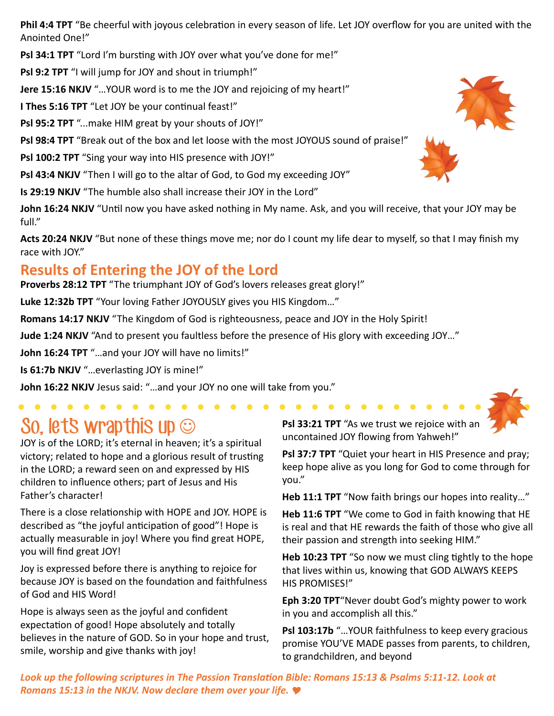**Phil 4:4 TPT** "Be cheerful with joyous celebration in every season of life. Let JOY overflow for you are united with the Anointed One!"

Psl 34:1 TPT "Lord I'm bursting with JOY over what you've done for me!"

**Psl 9:2 TPT** "I will jump for JOY and shout in triumph!"

**Jere 15:16 NKJV** "…YOUR word is to me the JOY and rejoicing of my heart!"

**I Thes 5:16 TPT** "Let JOY be your continual feast!"

**Psl 95:2 TPT** "...make HIM great by your shouts of JOY!"

**Psl 98:4 TPT** "Break out of the box and let loose with the most JOYOUS sound of praise!"

**Psl 100:2 TPT** "Sing your way into HIS presence with JOY!"

**Psl 43:4 NKJV** "Then I will go to the altar of God, to God my exceeding JOY"

**Is 29:19 NKJV** "The humble also shall increase their JOY in the Lord"

John 16:24 NKJV "Until now you have asked nothing in My name. Ask, and you will receive, that your JOY may be full."

Acts 20:24 NKJV "But none of these things move me; nor do I count my life dear to myself, so that I may finish my race with JOY."

#### **Results of Entering the JOY of the Lord**

**Proverbs 28:12 TPT** "The triumphant JOY of God's lovers releases great glory!"

**Luke 12:32b TPT** "Your loving Father JOYOUSLY gives you HIS Kingdom…"

**Romans 14:17 NKJV** "The Kingdom of God is righteousness, peace and JOY in the Holy Spirit!

**Jude 1:24 NKJV** "And to present you faultless before the presence of His glory with exceeding JOY…"

**John 16:24 TPT** "…and your JOY will have no limits!"

**Is 61:7b NKJV** "…everlasting JOY is mine!"

**John 16:22 NKJV** Jesus said: "…and your JOY no one will take from you."

### So, let's wrapthis up  $\odot$

JOY is of the LORD; it's eternal in heaven; it's a spiritual victory; related to hope and a glorious result of trusting in the LORD; a reward seen on and expressed by HIS children to influence others; part of Jesus and His Father's character!

There is a close relationship with HOPE and JOY. HOPE is described as "the joyful anticipation of good"! Hope is actually measurable in joy! Where you find great HOPE, you will find great JOY!

Joy is expressed before there is anything to rejoice for because JOY is based on the foundation and faithfulness of God and HIS Word!

Hope is always seen as the joyful and confident expectation of good! Hope absolutely and totally believes in the nature of GOD. So in your hope and trust, smile, worship and give thanks with joy!

**Psl 33:21 TPT** "As we trust we rejoice with an uncontained JOY flowing from Yahweh!"

**Psl 37:7 TPT** "Quiet your heart in HIS Presence and pray; keep hope alive as you long for God to come through for you."

**Heb 11:1 TPT** "Now faith brings our hopes into reality…"

**Heb 11:6 TPT** "We come to God in faith knowing that HE is real and that HE rewards the faith of those who give all their passion and strength into seeking HIM."

**Heb 10:23 TPT** "So now we must cling tightly to the hope that lives within us, knowing that GOD ALWAYS KEEPS HIS PROMISES!"

**Eph 3:20 TPT**"Never doubt God's mighty power to work in you and accomplish all this."

**Psl 103:17b** "…YOUR faithfulness to keep every gracious promise YOU'VE MADE passes from parents, to children, to grandchildren, and beyond

*Look up the following scriptures in The Passion Translation Bible: Romans 15:13 & Psalms 5:11-12. Look at Romans 15:13 in the NKJV. Now declare them over your life.*